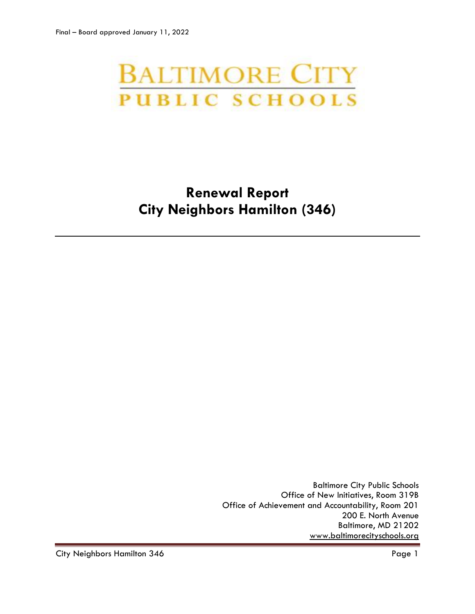# **BALTIMORE CITY PUBLIC SCHOOLS**

# **Renewal Report City Neighbors Hamilton (346)**

Baltimore City Public Schools Office of New Initiatives, Room 319B Office of Achievement and Accountability, Room 201 200 E. North Avenue Baltimore, MD 21202 [www.baltimorecityschools.org](http://www.baltimorecityschools.org/)

City Neighbors Hamilton 346 Page 1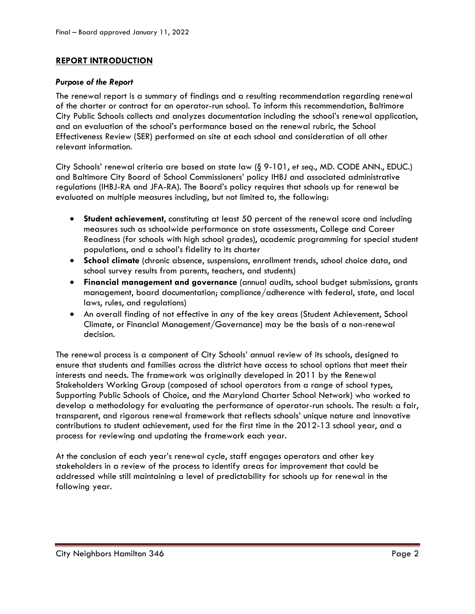# **REPORT INTRODUCTION**

### *Purpose of the Report*

The renewal report is a summary of findings and a resulting recommendation regarding renewal of the charter or contract for an operator-run school. To inform this recommendation, Baltimore City Public Schools collects and analyzes documentation including the school's renewal application, and an evaluation of the school's performance based on the renewal rubric, the School Effectiveness Review (SER) performed on site at each school and consideration of all other relevant information.

City Schools' renewal criteria are based on state law (§ 9-101, *et seq*., MD. CODE ANN., EDUC.) and Baltimore City Board of School Commissioners' policy IHBJ and associated administrative regulations (IHBJ-RA and JFA-RA). The Board's policy requires that schools up for renewal be evaluated on multiple measures including, but not limited to, the following:

- **Student achievement**, constituting at least 50 percent of the renewal score and including measures such as schoolwide performance on state assessments, College and Career Readiness (for schools with high school grades), academic programming for special student populations, and a school's fidelity to its charter
- **School climate** (chronic absence, suspensions, enrollment trends, school choice data, and school survey results from parents, teachers, and students)
- **Financial management and governance** (annual audits, school budget submissions, grants management, board documentation; compliance/adherence with federal, state, and local laws, rules, and regulations)
- An overall finding of not effective in any of the key areas (Student Achievement, School Climate, or Financial Management/Governance) may be the basis of a non-renewal decision.

The renewal process is a component of City Schools' annual review of its schools, designed to ensure that students and families across the district have access to school options that meet their interests and needs. The framework was originally developed in 2011 by the Renewal Stakeholders Working Group (composed of school operators from a range of school types, Supporting Public Schools of Choice, and the Maryland Charter School Network) who worked to develop a methodology for evaluating the performance of operator-run schools. The result: a fair, transparent, and rigorous renewal framework that reflects schools' unique nature and innovative contributions to student achievement, used for the first time in the 2012-13 school year, and a process for reviewing and updating the framework each year.

At the conclusion of each year's renewal cycle, staff engages operators and other key stakeholders in a review of the process to identify areas for improvement that could be addressed while still maintaining a level of predictability for schools up for renewal in the following year.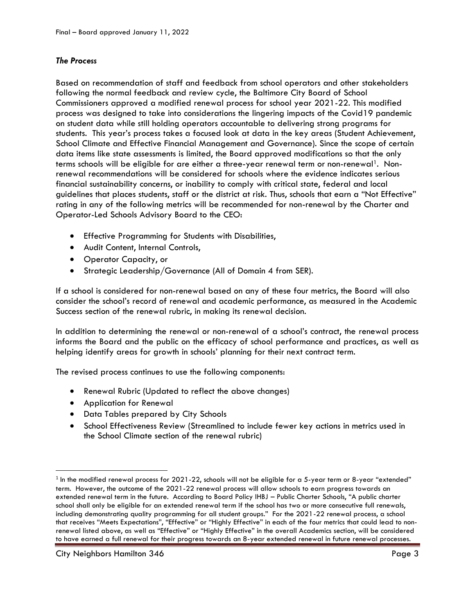# *The Process*

Based on recommendation of staff and feedback from school operators and other stakeholders following the normal feedback and review cycle, the Baltimore City Board of School Commissioners approved a modified renewal process for school year 2021-22. This modified process was designed to take into considerations the lingering impacts of the Covid19 pandemic on student data while still holding operators accountable to delivering strong programs for students. This year's process takes a focused look at data in the key areas (Student Achievement, School Climate and Effective Financial Management and Governance). Since the scope of certain data items like state assessments is limited, the Board approved modifications so that the only terms schools will be eligible for are either a three-year renewal term or non-renewal<sup>1</sup>. Nonrenewal recommendations will be considered for schools where the evidence indicates serious financial sustainability concerns, or inability to comply with critical state, federal and local guidelines that places students, staff or the district at risk. Thus, schools that earn a "Not Effective" rating in any of the following metrics will be recommended for non-renewal by the Charter and Operator-Led Schools Advisory Board to the CEO:

- Effective Programming for Students with Disabilities,
- Audit Content, Internal Controls,
- Operator Capacity, or
- Strategic Leadership/Governance (All of Domain 4 from SER).

If a school is considered for non-renewal based on any of these four metrics, the Board will also consider the school's record of renewal and academic performance, as measured in the Academic Success section of the renewal rubric, in making its renewal decision.

In addition to determining the renewal or non-renewal of a school's contract, the renewal process informs the Board and the public on the efficacy of school performance and practices, as well as helping identify areas for growth in schools' planning for their next contract term.

The revised process continues to use the following components:

- Renewal Rubric (Updated to reflect the above changes)
- Application for Renewal
- Data Tables prepared by City Schools
- School Effectiveness Review (Streamlined to include fewer key actions in metrics used in the School Climate section of the renewal rubric)

l

 $^{\rm 1}$  In the modified renewal process for 2021-22, schools will not be eligible for a 5-year term or 8-year "extended" term. However, the outcome of the 2021-22 renewal process will allow schools to earn progress towards an extended renewal term in the future. According to Board Policy IHBJ – Public Charter Schools, "A public charter school shall only be eligible for an extended renewal term if the school has two or more consecutive full renewals, including demonstrating quality programming for all student groups." For the 2021-22 renewal process, a school that receives "Meets Expectations", "Effective" or "Highly Effective" in each of the four metrics that could lead to nonrenewal listed above, as well as "Effective" or "Highly Effective" in the overall Academics section, will be considered to have earned a full renewal for their progress towards an 8-year extended renewal in future renewal processes.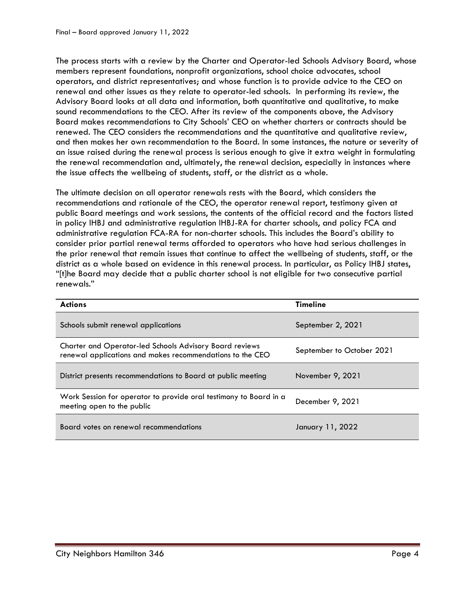The process starts with a review by the Charter and Operator-led Schools Advisory Board, whose members represent foundations, nonprofit organizations, school choice advocates, school operators, and district representatives; and whose function is to provide advice to the CEO on renewal and other issues as they relate to operator-led schools. In performing its review, the Advisory Board looks at all data and information, both quantitative and qualitative, to make sound recommendations to the CEO. After its review of the components above, the Advisory Board makes recommendations to City Schools' CEO on whether charters or contracts should be renewed. The CEO considers the recommendations and the quantitative and qualitative review, and then makes her own recommendation to the Board. In some instances, the nature or severity of an issue raised during the renewal process is serious enough to give it extra weight in formulating the renewal recommendation and, ultimately, the renewal decision, especially in instances where the issue affects the wellbeing of students, staff, or the district as a whole.

The ultimate decision on all operator renewals rests with the Board, which considers the recommendations and rationale of the CEO, the operator renewal report, testimony given at public Board meetings and work sessions, the contents of the official record and the factors listed in policy IHBJ and administrative regulation IHBJ-RA for charter schools, and policy FCA and administrative regulation FCA-RA for non-charter schools. This includes the Board's ability to consider prior partial renewal terms afforded to operators who have had serious challenges in the prior renewal that remain issues that continue to affect the wellbeing of students, staff, or the district as a whole based on evidence in this renewal process. In particular, as Policy IHBJ states, "[t]he Board may decide that a public charter school is not eligible for two consecutive partial renewals."

| <b>Actions</b>                                                                                                              | <b>Timeline</b>           |
|-----------------------------------------------------------------------------------------------------------------------------|---------------------------|
| Schools submit renewal applications                                                                                         | September 2, 2021         |
| <b>Charter and Operator-led Schools Advisory Board reviews</b><br>renewal applications and makes recommendations to the CEO | September to October 2021 |
| District presents recommendations to Board at public meeting                                                                | November 9, 2021          |
| Work Session for operator to provide oral testimony to Board in a<br>meeting open to the public                             | December 9, 2021          |
| Board votes on renewal recommendations                                                                                      | January 11, 2022          |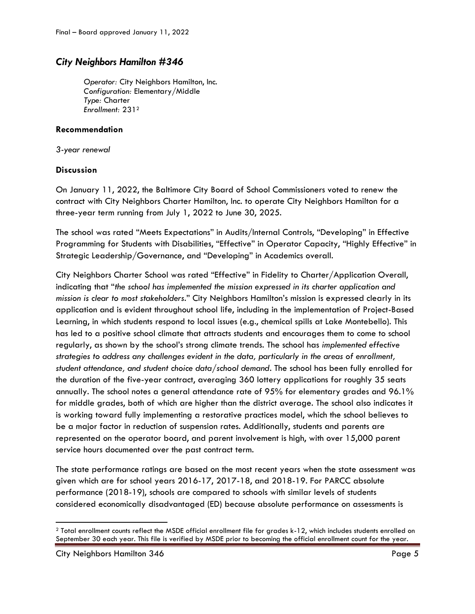# *City Neighbors Hamilton #346*

*Operator:* City Neighbors Hamilton, Inc. *Configuration:* Elementary/Middle *Type:* Charter *Enrollment:* 231<sup>2</sup>

## **Recommendation**

*3-year renewal*

# **Discussion**

On January 11, 2022, the Baltimore City Board of School Commissioners voted to renew the contract with City Neighbors Charter Hamilton, Inc. to operate City Neighbors Hamilton for a three-year term running from July 1, 2022 to June 30, 2025.

The school was rated "Meets Expectations" in Audits/Internal Controls, "Developing" in Effective Programming for Students with Disabilities, "Effective" in Operator Capacity, "Highly Effective" in Strategic Leadership/Governance, and "Developing" in Academics overall.

City Neighbors Charter School was rated "Effective" in Fidelity to Charter/Application Overall, indicating that "*the school has implemented the mission expressed in its charter application and mission is clear to most stakeholders*." City Neighbors Hamilton's mission is expressed clearly in its application and is evident throughout school life, including in the implementation of Project-Based Learning, in which students respond to local issues (e.g., chemical spills at Lake Montebello). This has led to a positive school climate that attracts students and encourages them to come to school regularly, as shown by the school's strong climate trends. The school has *implemented effective strategies to address any challenges evident in the data, particularly in the areas of enrollment, student attendance, and student choice data/school demand*. The school has been fully enrolled for the duration of the five-year contract, averaging 360 lottery applications for roughly 35 seats annually. The school notes a general attendance rate of 95% for elementary grades and 96.1% for middle grades, both of which are higher than the district average. The school also indicates it is working toward fully implementing a restorative practices model, which the school believes to be a major factor in reduction of suspension rates. Additionally, students and parents are represented on the operator board, and parent involvement is high, with over 15,000 parent service hours documented over the past contract term.

The state performance ratings are based on the most recent years when the state assessment was given which are for school years 2016-17, 2017-18, and 2018-19. For PARCC absolute performance (2018-19), schools are compared to schools with similar levels of students considered economically disadvantaged (ED) because absolute performance on assessments is

 $\overline{a}$ 

<sup>2</sup> Total enrollment counts reflect the MSDE official enrollment file for grades k-12, which includes students enrolled on September 30 each year. This file is verified by MSDE prior to becoming the official enrollment count for the year.

City Neighbors Hamilton 346 Page 5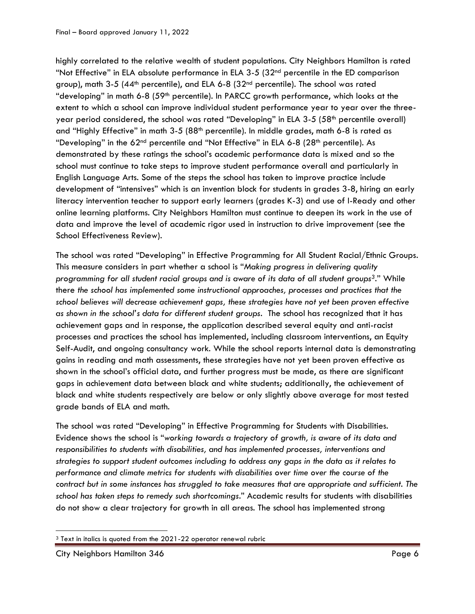highly correlated to the relative wealth of student populations. City Neighbors Hamilton is rated "Not Effective" in ELA absolute performance in ELA 3-5  $(32<sup>nd</sup>$  percentile in the ED comparison group), math 3-5 (44<sup>th</sup> percentile), and ELA 6-8 (32<sup>nd</sup> percentile). The school was rated "developing" in math 6-8 (59<sup>th</sup> percentile). In PARCC growth performance, which looks at the extent to which a school can improve individual student performance year to year over the threeyear period considered, the school was rated "Developing" in ELA 3-5 (58<sup>th</sup> percentile overall) and "Highly Effective" in math 3-5 (88<sup>th</sup> percentile). In middle grades, math 6-8 is rated as "Developing" in the  $62<sup>nd</sup>$  percentile and "Not Effective" in ELA 6-8 (28<sup>th</sup> percentile). As demonstrated by these ratings the school's academic performance data is mixed and so the school must continue to take steps to improve student performance overall and particularly in English Language Arts. Some of the steps the school has taken to improve practice include development of "intensives" which is an invention block for students in grades 3-8, hiring an early literacy intervention teacher to support early learners (grades K-3) and use of I-Ready and other online learning platforms. City Neighbors Hamilton must continue to deepen its work in the use of data and improve the level of academic rigor used in instruction to drive improvement (see the School Effectiveness Review).

The school was rated "Developing" in Effective Programming for All Student Racial/Ethnic Groups. This measure considers in part whether a school is "*Making progress in delivering quality programming for all student racial groups and is aware of its data of all student groups3*." While there *the school has implemented some instructional approaches, processes and practices that the school believes will decrease achievement gaps, these strategies have not yet been proven effective as shown in the school's data for different student groups*. The school has recognized that it has achievement gaps and in response, the application described several equity and anti-racist processes and practices the school has implemented, including classroom interventions, an Equity Self-Audit, and ongoing consultancy work. While the school reports internal data is demonstrating gains in reading and math assessments, these strategies have not yet been proven effective as shown in the school's official data, and further progress must be made, as there are significant gaps in achievement data between black and white students; additionally, the achievement of black and white students respectively are below or only slightly above average for most tested grade bands of ELA and math.

The school was rated "Developing" in Effective Programming for Students with Disabilities. Evidence shows the school is "*working towards a trajectory of growth, is aware of its data and responsibilities to students with disabilities, and has implemented processes, interventions and strategies to support student outcomes including to address any gaps in the data as it relates to performance and climate metrics for students with disabilities over time over the course of the contract but in some instances has struggled to take measures that are appropriate and sufficient. The school has taken steps to remedy such shortcomings*." Academic results for students with disabilities do not show a clear trajectory for growth in all areas. The school has implemented strong

 $\overline{\phantom{a}}$ <sup>3</sup> Text in italics is quoted from the 2021-22 operator renewal rubric

City Neighbors Hamilton 346 Page 6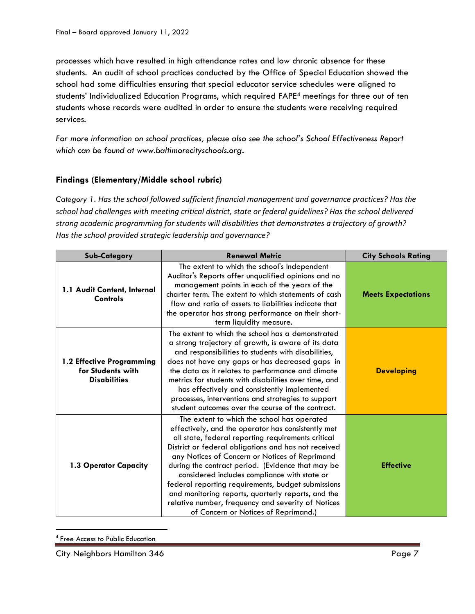processes which have resulted in high attendance rates and low chronic absence for these students. An audit of school practices conducted by the Office of Special Education showed the school had some difficulties ensuring that special educator service schedules were aligned to students' Individualized Education Programs, which required FAPE<sup>4</sup> meetings for three out of ten students whose records were audited in order to ensure the students were receiving required services.

*For more information on school practices, please also see the school's School Effectiveness Report which can be found at www.baltimorecityschools.org.*

# **Findings (Elementary/Middle school rubric)**

*Category 1. Has the school followed sufficient financial management and governance practices? Has the school had challenges with meeting critical district, state or federal guidelines? Has the school delivered strong academic programming for students will disabilities that demonstrates a trajectory of growth? Has the school provided strategic leadership and governance?*

| <b>Sub-Category</b>                                                   | <b>Renewal Metric</b>                                                                                                                                                                                                                                                                                                                                                                                                                                                                                                                                                            | <b>City Schools Rating</b> |
|-----------------------------------------------------------------------|----------------------------------------------------------------------------------------------------------------------------------------------------------------------------------------------------------------------------------------------------------------------------------------------------------------------------------------------------------------------------------------------------------------------------------------------------------------------------------------------------------------------------------------------------------------------------------|----------------------------|
| 1.1 Audit Content, Internal<br>Controls                               | The extent to which the school's Independent<br>Auditor's Reports offer unqualified opinions and no<br>management points in each of the years of the<br>charter term. The extent to which statements of cash<br>flow and ratio of assets to liabilities indicate that<br>the operator has strong performance on their short-<br>term liquidity measure.                                                                                                                                                                                                                          | <b>Meets Expectations</b>  |
| 1.2 Effective Programming<br>for Students with<br><b>Disabilities</b> | The extent to which the school has a demonstrated<br>a strong trajectory of growth, is aware of its data<br>and responsibilities to students with disabilities,<br>does not have any gaps or has decreased gaps in<br>the data as it relates to performance and climate<br>metrics for students with disabilities over time, and<br>has effectively and consistently implemented<br>processes, interventions and strategies to support<br>student outcomes over the course of the contract.                                                                                      | <b>Developing</b>          |
| 1.3 Operator Capacity                                                 | The extent to which the school has operated<br>effectively, and the operator has consistently met<br>all state, federal reporting requirements critical<br>District or federal obligations and has not received<br>any Notices of Concern or Notices of Reprimand<br>during the contract period. (Evidence that may be<br>considered includes compliance with state or<br>federal reporting requirements, budget submissions<br>and monitoring reports, quarterly reports, and the<br>relative number, frequency and severity of Notices<br>of Concern or Notices of Reprimand.) | <b>Effective</b>           |

<sup>4</sup> Free Access to Public Education

 $\overline{\phantom{a}}$ 

City Neighbors Hamilton 346 Page 7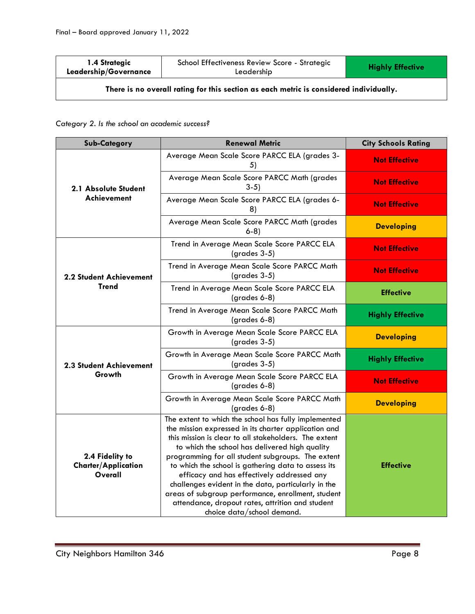| 1.4 Strategic<br>Leadership/Governance                                                 | School Effectiveness Review Score - Strategic<br>Leadership | <b>Highly Effective</b> |
|----------------------------------------------------------------------------------------|-------------------------------------------------------------|-------------------------|
| There is no overall rating for this section as each metric is considered individually. |                                                             |                         |

*Category 2. Is the school an academic success?*

| <b>Sub-Category</b>                                      | <b>Renewal Metric</b>                                                                                                                                                                                                                                                                                                                                                                                                                                                                                                                                                            | <b>City Schools Rating</b> |
|----------------------------------------------------------|----------------------------------------------------------------------------------------------------------------------------------------------------------------------------------------------------------------------------------------------------------------------------------------------------------------------------------------------------------------------------------------------------------------------------------------------------------------------------------------------------------------------------------------------------------------------------------|----------------------------|
| 2.1 Absolute Student                                     | Average Mean Scale Score PARCC ELA (grades 3-<br>5)                                                                                                                                                                                                                                                                                                                                                                                                                                                                                                                              | <b>Not Effective</b>       |
|                                                          | Average Mean Scale Score PARCC Math (grades<br>$3-5)$                                                                                                                                                                                                                                                                                                                                                                                                                                                                                                                            | <b>Not Effective</b>       |
| <b>Achievement</b>                                       | Average Mean Scale Score PARCC ELA (grades 6-<br>8)                                                                                                                                                                                                                                                                                                                                                                                                                                                                                                                              | <b>Not Effective</b>       |
|                                                          | Average Mean Scale Score PARCC Math (grades<br>$6-8$                                                                                                                                                                                                                                                                                                                                                                                                                                                                                                                             | <b>Developing</b>          |
|                                                          | Trend in Average Mean Scale Score PARCC ELA<br>$(grades 3-5)$                                                                                                                                                                                                                                                                                                                                                                                                                                                                                                                    | <b>Not Effective</b>       |
| <b>2.2 Student Achievement</b>                           | Trend in Average Mean Scale Score PARCC Math<br>$(grades 3-5)$                                                                                                                                                                                                                                                                                                                                                                                                                                                                                                                   | <b>Not Effective</b>       |
| Trend                                                    | Trend in Average Mean Scale Score PARCC ELA<br>$(grades 6-8)$                                                                                                                                                                                                                                                                                                                                                                                                                                                                                                                    | <b>Effective</b>           |
|                                                          | Trend in Average Mean Scale Score PARCC Math<br>(grades 6-8)                                                                                                                                                                                                                                                                                                                                                                                                                                                                                                                     | <b>Highly Effective</b>    |
|                                                          | Growth in Average Mean Scale Score PARCC ELA<br>$(grades 3-5)$                                                                                                                                                                                                                                                                                                                                                                                                                                                                                                                   | <b>Developing</b>          |
| 2.3 Student Achievement                                  | Growth in Average Mean Scale Score PARCC Math<br>$(grades 3-5)$                                                                                                                                                                                                                                                                                                                                                                                                                                                                                                                  | <b>Highly Effective</b>    |
| Growth                                                   | Growth in Average Mean Scale Score PARCC ELA<br>$(grades 6-8)$                                                                                                                                                                                                                                                                                                                                                                                                                                                                                                                   | <b>Not Effective</b>       |
|                                                          | Growth in Average Mean Scale Score PARCC Math<br>$(grades 6-8)$                                                                                                                                                                                                                                                                                                                                                                                                                                                                                                                  | <b>Developing</b>          |
| 2.4 Fidelity to<br><b>Charter/Application</b><br>Overall | The extent to which the school has fully implemented<br>the mission expressed in its charter application and<br>this mission is clear to all stakeholders. The extent<br>to which the school has delivered high quality<br>programming for all student subgroups. The extent<br>to which the school is gathering data to assess its<br>efficacy and has effectively addressed any<br>challenges evident in the data, particularly in the<br>areas of subgroup performance, enrollment, student<br>attendance, dropout rates, attrition and student<br>choice data/school demand. | <b>Effective</b>           |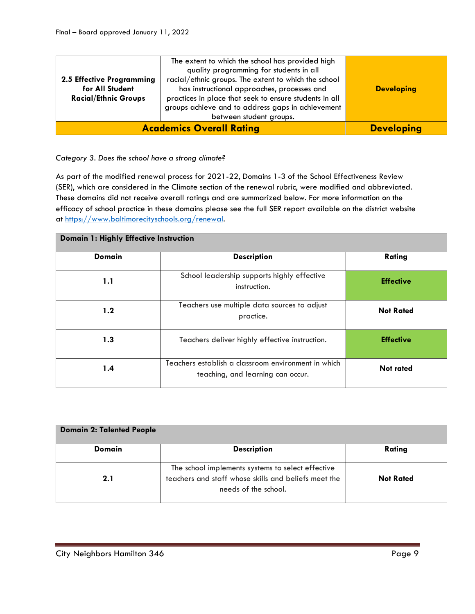| 2.5 Effective Programming<br>for All Student<br><b>Racial/Ethnic Groups</b> | The extent to which the school has provided high<br>quality programming for students in all<br>racial/ethnic groups. The extent to which the school<br>has instructional approaches, processes and<br>practices in place that seek to ensure students in all<br>groups achieve and to address gaps in achievement<br>between student groups. | <b>Developing</b> |
|-----------------------------------------------------------------------------|----------------------------------------------------------------------------------------------------------------------------------------------------------------------------------------------------------------------------------------------------------------------------------------------------------------------------------------------|-------------------|
|                                                                             | <b>Academics Overall Rating</b>                                                                                                                                                                                                                                                                                                              | <b>Developing</b> |

### *Category 3. Does the school have a strong climate?*

As part of the modified renewal process for 2021-22, Domains 1-3 of the School Effectiveness Review (SER), which are considered in the Climate section of the renewal rubric, were modified and abbreviated. These domains did not receive overall ratings and are summarized below. For more information on the efficacy of school practice in these domains please see the full SER report available on the district website at [https://www.baltimorecityschools.org/renewal.](https://www.baltimorecityschools.org/renewal)

| Domain 1: Highly Effective Instruction |                                                                                          |                  |
|----------------------------------------|------------------------------------------------------------------------------------------|------------------|
| <b>Domain</b>                          | <b>Description</b>                                                                       | Rating           |
| 1.1                                    | School leadership supports highly effective<br>instruction.                              | <b>Effective</b> |
| 1.2                                    | Teachers use multiple data sources to adjust<br>practice.                                | <b>Not Rated</b> |
| 1.3                                    | Teachers deliver highly effective instruction.                                           | <b>Effective</b> |
| 1.4                                    | Teachers establish a classroom environment in which<br>teaching, and learning can occur. | <b>Not rated</b> |

| <b>Domain 2: Talented People</b> |                                                                                                                                   |                  |
|----------------------------------|-----------------------------------------------------------------------------------------------------------------------------------|------------------|
| Domain                           | <b>Description</b>                                                                                                                | Rating           |
| 2.1                              | The school implements systems to select effective<br>teachers and staff whose skills and beliefs meet the<br>needs of the school. | <b>Not Rated</b> |